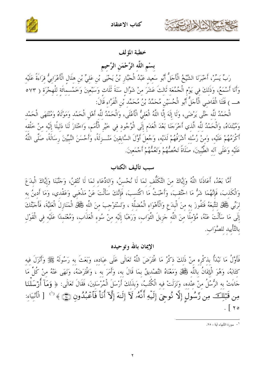



# خطبة المؤلف

بسْم اللَّه الرَّحْمَن الرَّحيم

رَبِّ يَسِّرْ، أَخْبَرَنَا الشَّيْخُ الْأَجَلُّ أَبُو سَعيد عَبْدُ الْجَبَّارِ بْنُ يَحْيَى بْنِ عَلِيٍّ بْنِ هِلَالِ الْأَعْرَابِيُّ قِرَاءَةً عَلَيْهِ وَأَنَا أَسْمَعُ، وَذَلِكَ فِي يَوْمِ الْجُمُعَةِ ثَالِثَ عَشَرَ مِنْ شَوَّالِ سَنَةَ ثَلَاثٍ وَسَبْعِينَ وَخَمْسمائَة لِلْهِجْرَةِ ( ٥٧٣ هـــ ) قَتَنَا الْقَاضي الْأَجَلُّ أَبُو الْحُسَيْن مُحَمَّدُ بْنُ مُحَمَّد بْن الْفَرَّاء قَالَ:

الْحَمْدُ للَّه حَتَّى يَرْضَى، وَلَا إِلَهَ إِلَّا اللَّهُ الْعَليُّ الْأَعْلَى، وَالْحَمْدُ للَّه أَهْلِ الْحَمْد وَمَوْلَاهُ وَمُنْتَهَى الْحَمْد وَمُبْتَدَاهُ، وَالْحَمْدُ للَّه الَّذي أَخْرَجَنَا بَعْدَ الْعَدَمِ إِلَى الْوُجُودِ في خَيْرِ الْأُمَمِ، وَاخْتَارَ لَنَا دَليلًا إِلَيْه منْ خَلْقه أَكْرَمُهُمْ عَلَيْه، وَمِنْ رُسُلِه أَشْرَفُهُمْ لَدَيْه، وَجُعِلَ أَوَّلَ السَّابِقِينَ مَنْــزِلَةً، وَأَحْسَنَ النَّبيِّينَ رِسَالَةً، صَلَّى اللَّهُ عَلَيْه وَعَلَى آله الطَّيِّينَ، صَلَاةً تَخُصُّهُمْ وَتَعُمُّهُمْ أَجْمَعينَ.

# سبب تأليف الكتاب

أَمَّا بَعْدُ، أَعَاذَنَا اللَّهُ وَإِيَّاكَ منَ التَّكَلُّف لمَا لَا نُحْسنُ، وَاللدِّعَاء لمَا لَا نُتْقنُ، وَحَنَّبَنَا وَإِيَّاكَ الْبدَعَ وَالْكَذبَ، فَإِنَّهُمَا شَرُّ مَا احْتُقبَ، وَأَخْبَتُ مَا اكْتُسبَ، فَإِنَّكَ سَأَلْتَ عَنْ مَذْهَبي وَعَقْدي، وَمَا أَدينُ بِه لرَّبِّي فَكِجْلٌ لتَتَّبِعَهُ فَتَفُوزَ به منَ الْبدَعِ وَالْأَهْوَاء الْمُضلَّة ، وَتَسْتَوْحبَ منَ اللَّه فَكِلّ الْمَنَازلَ الْعَليَّةَ، فَأَجَبْتُكَ إِلَى مَا سَأَلْتَ عَنْهُ، مُؤْمِلًا مِنَ اللَّهِ جَزِيلَ الثَّوَابِ، وَرَهَبًا إِلَيْهِ مِنْ سُوءِ الْعَذَابِ، وَمُعْتَمِدًا عَلَيْهِ فِي الْقَوْلِ بالتَّأْييد للصَّوَاب.

# الإيمان بالله وتوحيده

فَأَوَّلُ مَا نَبْدَأُ بذكْره منْ ذَلكَ ذكْرُ مَا افْتَرَضَ اللَّهُ تَعَالَى عَلَى عبَاده، وَبَعَثَ به رَسُولَهُ ﷺ وَأَنْزَلَ فيه كتَابَهُ، وَهُوَ الْإِيمَانُ بِاللَّه فَجَلْلٌ وَمَعْنَاهُ التَّصْديقُ بمَا قَالَ به، وَأَمَرَ به ، وَافْتَرَضَهُ، وَنَهَى عَنْهُ منْ كُلِّ مَا حَاءَتْ به الرُّسُلُ منْ عنْده، وَنَزَلَتْ فيه الْكُتُبُ، وَبذَلكَ أَرْسَلَ الْمُرْسَلينَ، فَقَالَ تَعَالَى: ﴿ وَمَآ أَرْسَلْنَا مِن قَبْلِكَ مِن رَّسُولٍ إِلَّا نُوحِيَ إِلَيْهِ أَنَّهُۥ لَآ إِلَـٰهَ إِلَّآ أَنَاْ فَٱعۡبُدُونِ ۞ ﴾ ('' [ الْأَنْبِيَاءِ:  $\frac{1}{2}$   $\sqrt{2}$ 

ا – سورة الأنبياء آية : ٢٥.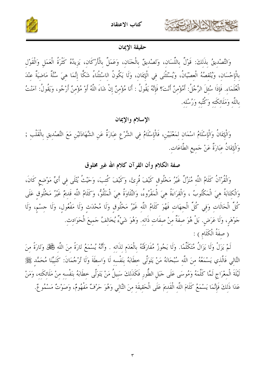



# حقيقة الإيمان

وَالتَّصْدِيقُ بِذَلِكَ: قَوْلٌ بِاللِّسَانِ، وَتَصْدِيقٌ بِالْجَنَانِ، وَعَمَلٌ بِالْأَرْكَانِ، يَزِيدُهُ كَثْرَةُ الْعَمَلِ وَالْقَوْلِ بِالْإِحْسَانِ، وَيُنْقِصُهُ الْعِصْيَانُ، وَيُسْتَثْنَى فِي الْإِيمَانِ، وَلَا يَكُونُ الاسْتْثْنَاءُ شَكًّا إنَّمَا هيَ سُنَّةٌ مَاضيَةٌ عنْدَ الْعُلَمَاءِ. فَإِذَا سُئِلَ الرَّجُلُ: أَمُؤْمِنٌ أَنْتَ؟ فَإِنَّهُ يَقُولُ : أَنَا مُؤْمِنٌ إِنْ شَاءَ اللَّهُ أَوْ مُؤْمِنٌ أَرْجُو، وَيَقُولُ: آمَنْتُ باللَّه وَمَلَائكَته وَكُتُبه وَرُسُله.

الإسلام والإيمان

وَالْإِيمَانُ وَالْإِسْلَامُ اسْمَانِ لِمَعْنَيَيْنِ، فَالْإِسْلَامُ فِي الشَّرْعِ عِبَارَةٌ عَنِ الشَّهَادَتَيْنِ مَعَ التَّصْدِيقِ بِالْقَلْبِ ; وَالْإِيمَانُ عِبَارَةٌ عَنْ جَميعِ الطَّاعَات.

صفة الكلام وأن القرآن كلام الله غير مخلوق

وَالْقُرْآنُ كَلَامُ اللَّه مُنَزَّلٌ غَيْرُ مَخْلُوق كَيْفَ قُرِئَ، وَكَيْفَ كُتِبَ، وَحَيْثُ يُتْلَى فِي أَيٍّ مَوْضِعِ كَانَ، وَالْكِتَابَةُ هِيَ الْمَكْتُوبُ ، وَالْقِرَاءَةُ هِيَ الْمَقْرُوءُ، وَالتِّلَاوَةُ هيَ الْمَتْلُوُّ، وَكَلَامُ اللَّه قَديمٌ غَيْرُ مَخْلُوق عَلَى كُلِّ الْحَالَات وَفي كُلِّ الْجهَات فَهُوَ كَلَامُ اللَّه غَيْرُ مَخْلُوق وَلَا مُحْدَث وَلَا مَفْعُول، وَلَا حسْم، وَلَا حَوْهَرِ، وَلَا عَرَضٍ. بَلْ هُوَ صِفَةٌ مِنْ صِفَاتٍ ذَاتِهِ. وَهُوَ شَيْءٌ يُخَالِفُ جَمِيعَ الْحَوَادِثِ. (صِفَةُ الْكَلَامِ ) :

لَمْ يَزَلْ وَلَا يَزَالُ مُتَكَلِّمًا. وَلَا يَجُوزُ مُفَارَقَتُهُ بِالْعَدَمِ لِذَاتِهِ . وَأَنَّهُ يُسْمَعُ تَارَةً مِنَ اللَّهِ فَخَلْلٌ وَتَارَةً مِنَ التَّالِي فَالَّذِي يَسْمَعُهُ مِنَ اللَّهِ سُبْحَانَهُ مَنْ يَتَوَلَّى خِطَابَهُ بِنَفْسِهِ لَا وَاسِطَةَ وَلَا تُرْجُمَانَ: كَنَبِيِّنَا مُحَمَّدٍ ﷺ لَيْلَةَ الْمعْرَاجِ لَمَّا كَلَّمَهُ وَمُوسَى عَلَى جَبَلِ الطُّورِ فَكَذَلِكَ سَبِيلُ مَنْ يَتَوَلَّى خطَابَهُ بنَفْسه منْ مَلَائكَته، وَمَنْ عَدَا ذَلِكَ فَإِنَّمَا يَسْمَعُ كَلَامَ اللَّهِ الْقَدِيمَ عَلَى الْحَقِيقَةِ مِنَ التَّالِي وَهُوَ حَرْفٌ مَفْهُومٌ، وَصَوْتٌ مَسْمُوعٌ.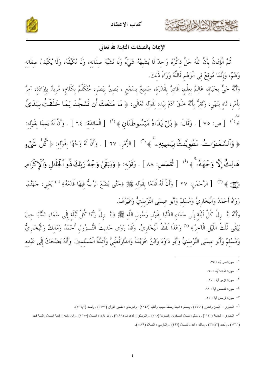





# الإيمان بالصفات الثابتة لله تعالى

تُمَّ الْإِيمَانُ بِأَنَّ اللَّهَ حَلَّ ذِكْرُهُ وَاحِدٌ لَا يُشْبِهُهُ شَيْءٌ وَلَا نُشَبِّهُ صِفَاتِهِ، وَلَا نُكَيِّفُهُ، وَلَا يُكَيِّفُ صِفَاتِهِ وَهْمٌ، وَإِنَّمَا مُوقِعٌ فِي الْوَهْمِ فَاللَّهُ وَرَاءَ ذَلِكَ. .<br>وَأَنَّهُ حَيٌّ بِحَيَاةٍ، عَالِمٌ بِعِلْمٍ، قَادِرٌ بِقُدْرَةٍ، سَمِيعٌ بِسَمْعٍ ، بَصِيرٌ بِبَصَرٍ، مُتَكَلِّمٌ بِكَلَامٍ، مُرِيدٌ بِإِرَادَةٍ، آمِرٌ بِأَمْرٍ، نَاهٍ بِنَهْيٍ، وَنُقِرُّ بِأَنَّهُ خَلَقَ آدَمَ بِيَدِهِ لِقَوْلِهِ تَعَالَى: ﴿ مَا مَنَعَكَ أَن تَسۡجُدَ لِمَا خَلَقۡتُ بِيَدَىّ ط<br>﴾ <sup>(١</sup>) [ص: ٧٥] . وَقَالَ: ﴿ بَلْ يَدَاهُ مَبْسُوطَتَانِ ﴾ <sup>(٢)</sup> [الْمَائِدَةِ: ٦٤] . وَأَنَّ لَهُ يَمِينًا بِقَوْلِهِ: ﴿ وَٱلسَّمَـٰوَاتُ مَطَّوِيَّـٰتُۢ بِيَمِينِهِۦ ۚ ﴾ (" [ الزُّمَرِ: ٦٧ ] . وَأَنَّ لَهُ وَجْهًا بِقَوْلِهِ: ﴿ كُلُّ شَىۡءٍ هَالِكٌ إِلَّا وَجْهَمُنَّ ﴾ ( ۚ) [ الْقَصَصِ: ٨٨ ] . وَقَوْلِهِ: ﴿ وَيَبۡقَىٰ وَجۡهُ رَبِّكَ ذُو ٱلۡجَلَالِ وَٱلۡإِكۡرَامِ (۞) ﴾ <sup>(°)</sup> [ الرَّحْمَنِ: ٢٧ ] وَأَنَّ لَهُ قَدَمًا بِقَوْلِهِ ﷺ وحَتَّى يَضَعَ الرَّبُّ فِيهَا قَدَمَهُ﴾ <sup>(٦)</sup> يَعْنِي: حَهَنَّمَ. رَوَاهُ أَحْمَدُ وَالْبُخَارِيُّ وَمُسْلِمٌ وَأَبُو عِيسَى التِّرْمِذِيُّ وَغَيْرُهُمْ.

وَأَنَّهُ يَنْــزِلُ كُلَّ لَيْلَة إِلَى سَمَاءِ الدُّنْيَا بقَوْلِ رَسُولِ اللَّهِ ﷺ ﴿يَنْــزِلُ رَبُّنَا كُلَّ لَيْلَة إِلَى سَمَاءِ الدُّنْيَا حينَ<br>يَبْقَى ثُلُثُ اللَّيْلِ الْآخِرُ﴾ <sup>(٧)</sup> وَهَذَا لَفْظُ الْبُخَارِيِّ. وَمُسْلِمٌ وَأَبُو عِيسَى التِّرْمِذِيُّ وَأَبُو دَاوُدَ وَابْنُ خُزَيْمَةَ وَالدَّارَقُطْنِيُّ وَأَئِمَّةُ الْمُسْلِمِينَ. وَأَنَّهُ يَضْحَكُ إِلَى عَبْدِهِ

ا \_ سورة ص أية : ٧٥.

٢\_ سورة المائدة أية : ٢٤.

٣- سورة الزمر أية : ٦٧.

<sup>&</sup>lt;sup>٤</sup>– سورة القصص أية : ٨٨.

<sup>&</sup>lt;sup>0</sup>– سورة الرحمن أية : ٢٧.

<sup>&</sup>lt;sup>7</sup>– البخاري : الأيمان والنذور (٦٦٦١) , ومسلم : الجنة وصفة نعيمها وأهلها (٢٨٤٨) , والترمذي : نفسير القرآن (٣٢٧٢) , وأحمد (٢٣٤/٣).

<sup>&</sup>lt;sup>٧</sup>– البخاري : الجمعة (١١٤٥) , ومسلم : صلاة المسافرين وقصرها (٧٥٨) , والنزمذي : الدعوات (٣٤٩٨) , وأبو داود : الصلاة (١٣١٥) , وابن ماجه : إقامة الصلاة والسنة فيها

<sup>(</sup>١٣٦٦) , وأحمد (٢/ ٢٦٤) , ومالك : النداء للصلاة (٤٩٦) , والدارمي : الصلاة (١٤٧٩).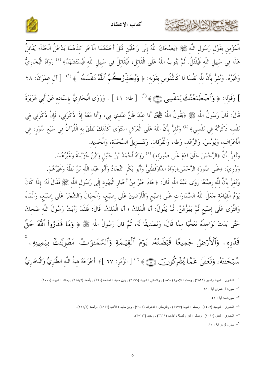





الْمُؤْمِنِ بِقَوْلِ رَسُولِ اللَّهِ ﷺ ﴿يَضْحَكُ اللَّهُ إِلَى رَجُلَيْنِ قَتَلَ أَحَدُهُمَا الْآخَرَ كِلَاهُمَا يَدْخُلُ الْجَنَّةَ؛ يُقَاتِلُ هَذَا فِي سَبِيلِ اللَّهِ فَيُقْتَلُ. ثُمَّ يَتُوبُ اللَّهُ عَلَى الْقَاتِلِ، فَيُقَاتِلُ فِي سَبِيلِ اللَّهِ فَيُسْتَشْهَدُ﴾ <sup>(١)</sup> رَوَاهُ الْبُخَارِيُّ وَغَيْرُهُ. وَنُقِرُّ بِأَنَّ لِلَّهِ نَفْسًا لَا كَالنُّفُوسِ بِقَوْلِهِ: ﴿ وَيُحَلِّرُكُمُ ٱللَّهُ نَفَسَهُۥ ﴾ (<sup>٢</sup>) [ آلِ عِمْرَانَ: ٢٨ ] وَقَوْلِهِ: ﴿ وَٱصۡطَنَعۡتُكَ لِنَفۡسِي (ۡيَّ) ﴾ (" ) [ طه: ٤١ ] . وَرَوَى الۡبُخَارِيُّ بِإِسْنَادِهِ عَنْ أَبِي هُرَيْرَةَ قَالَ: قَالَ رَسُولُ اللَّهِ ﷺ ﴿يَقُولُ اللَّهُ فَخَلْقٌ أَنَا عِنْدَ ظَنِّ عَبْدِي بِي، وَأَنَا مَعَهُ إِذَا ذَكَرَنِي، فَإِنْ ذَكَرَنِي فِي نَفْسه ذَكَرْتُهُ فِي نَفْسِي﴾ <sup>(٤)</sup> وَنُقِرُّ بِأَنَّ اللَّهَ عَلَى الْعَرْشِ اسْتَوَى كَذَلِكَ نَطَقَ بِهِ الْقُرْآنُ فِي سَبْعِ سُوَرٍ: فِي الْأَعْرَاف، وَيُونُسَ، وَالرَّعْد، وَطه، وَالْفُرْقَان، وَتَنْــزيلُ السَّجْدَة، وَالْحَديد. وَنُقِرُّ بِأَنَّ ﴿الرَّحْمَنَ خَلَقَ آدَمَ عَلَى صُورَتِهِ﴾ (°) رَوَاهُ أَحْمَدُ بْنُ حَنْبَلِ وَابْنُ خُزَيْمَةَ وَغَيْرُهُمَا.

وَرُوِيَ: ﴿عَلَى صُورَةِ الرَّحْمَنِ﴾رَوَاهُ الدَّارَقُطْنِيُّ وَأَبُو بَكْرِ النِّجَادُ وَأَبُو عَبْد اللّه بْنُ بَطَّةَ وَغَيْرُهُمْ. وَنُقرُّ بأَنَّ للَّه إصْبَعًا رَوَى عَبْدُ اللَّه قَالَ: ﴿جَاءَ حَبْرٌ منْ أَحْبَارِ الْيَهُودِ إِلَى رَسُولِ اللَّه ﷺ فَقَالَ لَهُ: إذَا كَانَ يَوْمُ الْقِيَامَةِ جَعَلَ اللَّهُ السَّمَاوَاتِ عَلَى إِصْبَعِ وَالْأَرَضِينَ عَلَى إِصْبَعِ، وَالْجَبَالَ وَالشَّجَرَ عَلَى إِصْبَعِ، وَالْمَاءَ وَالثَّرَى عَلَى إِصْبَعِ ثُمَّ يَهْزُهُنَّ. ثُمَّ يَقُولُ: أَنَا الْمَلِكُ ؛ أَنَا الْمَلِكُ. قَالَ: فَلَقَدْ رَأيتُ رَسُولَ اللَّهِ ضَحِكَ حَتَّى بَدَتْ نَوَاحِذُهُ تَعَجُّبًا ممَّا قَالَ، وَتَصْديقًا لَهُ، ثُمَّ قَالَ رَسُولُ اللَّه ﷺ ﴿ وَمَا قَدَرُواْ ٱللَّهَ حَقَّ قَدْرِهِۦ وَٱلْأَرۡضُ جَمِيعًا قَبۡضَتُهُۥ يَوۡمَ ٱلۡقِيَـٰمَةِ وَٱلسَّمَـٰوَاتُ مَطۡوِيَّـٰتُ بِيَمِينِهِۦ سُّبَحَـٰننَهُۥ وَنَعَـٰلَىٰ عَمَّـًا يُشۡرِكُونَ ۞﴾ ('') [ الزُّمَرِ: ٦٧ ]﴾ أَخْرَجَهُ هِبَةُ اللَّهِ الطَّبَرِيُّ وَالْبُخَارِيُّ

<sup>&</sup>lt;sup>1</sup> – البخاري : الجهاد والسير (٢٨٢٦) , ومسلم : الإمارة (١٨٩٠) , والنسائي : الجهاد (٣١٦٦) , وابن ماجه : المقدمة (١٩١) , وأحمد (٣١٨/٢) , ومالك : الجهاد (١٠٠٠).

<sup>&</sup>lt;sup>٢</sup>– سورة أل عمران أية : ٢٨.

۳- سورة طه آية : ٤١.

<sup>&</sup>lt;sup>٤</sup>– البخاري : التوحيد (٧٤٠٥) , ومسلم : النوبة (٢٦٧٥) , والترمذي : الدعوات (٣٦٠٣) , وابن ماجه : الأدب (٣٨٢٢) , وأحمد (٢/٢٥١).

<sup>&</sup>lt;sup>0</sup>– البخاري : العنق (٢٥٦٠) , ومسلم : البر والصلة والأداب (٢٦١٢) , وأحمد (٢/٢٥١).

٦ - سورة الزمر آبة: ٦٧.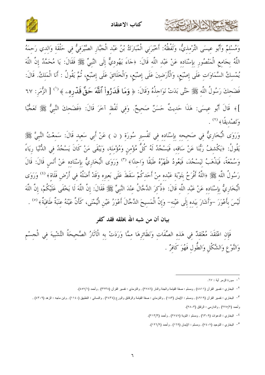



وَمُسْلِمٌ وَأَبُو عِيسَى التِّرْمِذِيُّ، وَلَفْظُهُ: أَخْبَرَنِي الْمُبَارَكُ بْنُ عَبْد الْجَبَّار الصَّيْرَفيُّ في حَلْقَة وَالدي رَحمَهُ اللَّهُ بِجَامِعِ الْمَنْصُورِ بِإِسْنَادِهِ عَنْ عَبْدِ اللَّهِ قَالَ: ﴿حَاءَ يَهُودِيٌّ إِلَى النَّبِيِّ ﷺ فَقَالَ: يَا مُحَمَّدُ إِنَّ اللَّهَ يُمْسِكُ السَّمَاوَاتِ عَلَى إِصْبَعِ، وَالْأَرَضِينَ عَلَى إِصْبَعِ، وَالْخَلَائِقَ عَلَى إِصْبَعِ، ثُمَّ يَقُولُ : أَنَا الْمَلِكُ. قَالَ: فَضَحِكَ رَسُولُ اللَّهِ ﷺ حَتَّى بَدَتْ نَوَاجِذُهُ وَقَالَ: ﴿ وَمَا قَدَرُواْ ٱللَّهَ حَقَّ قَدْرِه ِ ﴾ ('' [ الزُّمَرِ: ٦٧ ]﴾ قَالَ أَبُو عِيسَى: هَذَا حَدِيثٌ حَسَنٌ صَحِيحٌ. وَفِي لَفْظٍ آخَرَ قَالَ: ﴿فَضَحِكَ النَّبِيُّ ﷺ تَعَجُّبًا وَتَصْدِيقًا﴾ (٢) .

وَرَوَى الْبُخَارِيُّ فِي صَحيحه بإِسْنَادِهِ فِي تَفْسِيرِ سُورَةٍ ( ن ) عَنْ أَبِي سَعِيدٍ قَالَ: سَمِعْتُ النَّبِيَّ ﷺ يَقُولُ: ﴿يَكْشفُ رَبُّنَا عَنْ سَاقه، فَيَسْجُدُ لَهُ كُلُّ مُؤْمِنِ وَمُؤْمِنَةٍ، وَيَبْقَى مَنْ كَانَ يَسْجُدُ فِي الدُّنْيَا رِيَاءً وَسُمْعَةً، فَيَذْهَبُ لِيَسْجُدَ، فَيَعُودُ ظَهْرُهُ طَبَقًا وَاحِدًا﴾ (٣) وَرَوَى الْبُخَارِيُّ بِإِسْنَادِه عَنْ أَنَسِ قَالَ: قَالَ رَسُولُ اللَّه ﷺ ﴿اللَّهُ أَفْرَحُ بِتَوْبَةٍ عَبْدِهِ مِنْ أَحَدِكُمْ سَقَطَ عَلَى بَعيرِهِ وَقَدْ أَضَلَّهُ فِي أَرْضِ فَلَاةٍ﴾ (<sup>٤)</sup> وَرَوَى الْبُخَارِيُّ بِإِسْنَادِهِ عَنْ عَبْدِ اللَّهِ قَالَ: ﴿ذُكِرَ الدَّجَّالُ عِنْدَ النَّبِيِّ ﷺَ فَقَالَ: إِنَّ اللَّهَ لَا يَخْفَى عَلَيْكُمْ، إِنَّ اللَّهَ لَيْسَ بِأَعْوَرَ –وَأَشَارَ بِيَدهِ إِلَى عَيْنِهِ– وَإِنَّ الْمَسِيحَ الدَّجَّالَ أَعْوَرُ عَيْنِ الْيُمْنَى، كَأَنَّ عَيْنَهُ عِنَبَةٌ طَافِيَةٌ﴾ <sup>(٥)</sup> .

# بيان أن من شبه الله بخلقه فقد كفو

فَإِنِ اعْتَقَدَ مُعْتَقِدٌ فِي هَذِهِ الصِّفَاتِ وَنَظَائِرِهَا مِمَّا وَرَدَتْ بِهِ الْآثَارُ الصَّحِيحَةُ التَّشْبِيهَ فِي الْجِسْمِ وَالنَّوْعِ وَالشَّكْلِ وَالطُّولِ فَهُوَ كَافِرٌ .

حمشا المزاديت

ا – سورة الزمر أية : ٦٧.

<sup>&</sup>lt;sup>٢</sup>– البخاري : نفسير القرآن (٤٨١١) , ومسلم : صفة القيامة والجنة والنار (٢٧٨٦) , والترمذي : نفسير القرآن (٣٢٣٨) , وأحمد (٤٥٧/١).

٣- البخاري : تفسير القرآن (٤٩١٩) , ومسلم : الإيمان (١٨٣) , والترمذي : صفة القيامة والرقائق والورع (٢٤٣٤) , والنسائي : التطبيق (١١٤٠) , وابن ماجه : الزهد (٤٣٠٩) , وأحمد (٢/٥/٢) , والدارمي : الرقاق (٢٨٠٣).

<sup>&</sup>lt;sup>٤</sup>– البخاري : الدعوات (٦٣٠٩) , ومسلم : التوبة (٢٧٤٧) , وأحمد (٢١٣/٣).

<sup>&</sup>lt;sup>0</sup>– البخاري : التوحيد (٧٤٠٧) , ومسلم : الإيمان (١٦٩) , وأحمد (١٢٦/٢).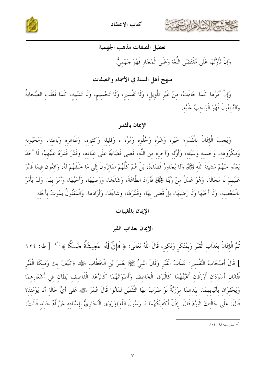



# تعطيل الصفات مذهب الجهمية

وَإِنْ تَأَوَّلَهَا عَلَى مُقْتَضَى اللُّغَة وَعَلَى الْمَجَازِ فَهُوَ جَهْميٌّ.

# منهج أهل السنة في الأسماء والصفات

وَإِنْ أَمَرَّهَا كَمَا حَاءَتْ، مِنْ غَيْرِ تَأْوِيلِ، وَلَا تَفْسِيرِ، وَلَا تَجْسِيمِ، وَلَا تَشْييه، كَمَا فَعَلَتِ الصَّحَابَةُ وَالتَّابِعُونَ فَهُوَ الْوَاحِبُ عَلَيْه.

# الإيمان بالقدر

وَيَجِبُ الْإِيمَانُ بِالْقَدَرِ؛ خَيْرِه وَشَرِّه وَحُلْوِه وَمُرِّه ، وَقَلِيله وَكَثيرِه، وَظَاهِرِه وَبَاطنه، وَمَحْبُوبِه وَمَكْرُوهه، وَحَسَنه وَسَيِّمه، وَأَوَّله وَآخره منَ اللَّه، قَضَى قَضَاءَهُ عَلَى عبَاده، وَقَلَّرَ قَدَرَهُ عَلَيْهمْ، لَا أَحَدَ يَعْدُو مِنْهُمْ مَشِيئَةَ اللَّهِ فَجَّلْ وَلَا يُجَاوِزُ قَضَاءَهُ، بَلْ هُمْ كُلُّهُمْ صَائِرُونَ إِلَى مَا خَلَقَهُمْ لَهُ، وَاقِعُونَ فيمَا قَدَّرَ عَلَيْهِمْ لَا مَحَالَةَ، وَهُوَ عَدْلٌ مِنْ رَبِّنَا فَجَمَلٌ فَأَرَادَ الطَّاعَةَ، وَشَاءَهَا، وَرَضيَهَا، وَأَحَبَّهَا، وَأَمَرَ بِهَا. وَلَمْ يَأْمُرْ بِالْمَعْصِيَةِ، وَلَا أَحَبَّهَا وَلَا رَضِيَهَا، بَلْ قَضَى بِهَا، وَقَلَّرَهَا، وَشَاءَهَا، وَأَرَادَهَا. وَالْمَقْتُولُ يَمُوتُ بِأَجَلِهِ.

### الإيمان بالمغيبات

#### الإيمان بعذاب القبر

تُمَّ الْإِيمَانُ بِعَذَابِ الْقَبْرِ وَبِمُنْكَرٍ وَنَكِيرٍ، قَالَ اللَّهُ تَعَالَى: ﴿ فَإِنَّ لَهُر مَعِيشَةً ضَنكًا ﴾ <sup>(')</sup> [طه: ١٢٤ ] قَالَ أَصْحَابُ التَّفْسيرِ: عَذَابُ الْقَبْرِ وَقَالَ النَّبِيُّ ﷺ لعُمَرَ بْنِ الْخَطَّابِ رَضِي الحَظَّاب وتح فَتَّانَانِ أَسْوَدَانِ أَرْرَقَانِ أَعْيُنْهُمَا كَالْبَرْقِ الْخَاطِفِ وَأَصْوَاتُهُمَا كَالرَّعْد الْقَاصِفِ يَطَآنِ فِي أَشْعَارِهِمَا وَيَحْفرَان بأَنْيَابهمَا، بيَدهمَا مِرْزَبَّةٌ لَوْ ضَرَبَ بِهَا الثَّقَلَيْنِ لَمَاتُوا قَالَ عُمَرُ رَهِي اللَّهَ أَيِّ حَالَةٍ أَنَا يَوْمَئِذ؟ قَالَ: عَلَى حَالَتكَ الْيَوْمَ قَالَ: إِذَنْ أَكْفِيكَهُمَا يَا رَسُولَ اللَّهِ﴾وَرَوَى الْبُخَارِيُّ بإسْنَاده عَنْ أُمٍّ خَالد قَالَتْ:

ا \_ سور ة طه آية : ١٢٤.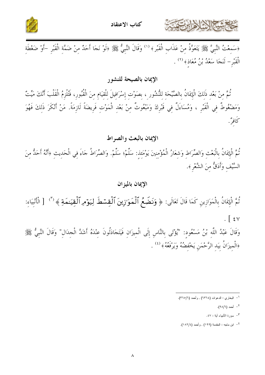



﴿سَمِعْتُ النَّبِيَّ ﷺ يَتَعَوَّدُ مِنْ عَذَابِ الْقَبْرِ ﴾ ('' وَقَالَ النَّبِيُّ ﷺ ﴿لَوْ نَجَا أَحَدٌ مِنْ ضَمَّةِ الْقَبْرِ –أَوْ ضَغْطَةِ الْقَبْرِ – لَنَجَا سَعْدُ بْنُ مُعَاذٍ﴾ (٢) .

# الإيمان بالصيحة للنشور

ثُمَّ مِنْ بَعْدِ ذَلِكَ الْإِيمَانُ بِالصَّيْحَةِ لِلنُّشُورِ ، بِصَوْتِ إِسْرَافِيلَ لِلْقِيَامِ مِنَ الْقُبُورِ، فَتُلْزِمُ الْقَلْبَ أَنَّكَ مَيِّتٌ وَمَضْغُوطٌ فِي الْقَبْرِ ، وَمُسَاءَلٌ فِي قَبْرِكَ وَمَبْعُوثٌ مِنْ بَعْدِ الْمَوْتِ فَرِيضَةً لَازِمَةً. مَنْ أَنْكَرَ ذَلِكَ فَهُوَ كَافوٌ'.

الإيمان بالبعث والصراط

ثُمَّ الْإِيمَانُ بِالْبَعْثِ وَالصِّرَاطِ وَشِعَارُ الْمُؤْمِنِينَ يَوْمَئِذِ: سَلَّمْ؛ سَلَّمْ. وَالصِّرَاطُ حَاءَ فِي الْحَدِيثِ ﴿أَنَّهُ أَحَدُّ مِنَ السَّيْفِ وَأَدَقُّ مِنَ الشَّعْرِ ﴾.

# الإيمان بالميزان

ثُمَّ الْإِيمَانُ بِالْمَوَازِينِ كَمَا قَالَ تَعَالَى: ﴿ وَنَضَعُ ٱلْمَوَازِينَ ٱلْقِسْطَ لِيَوْمِرِ ٱلْقِيَـٰمَةِ ﴾ (") [ الْأَنْبِيَاءِ: وَقَالَ عَبْدُ اللَّهِ بْنُ مَسْعُودٍ: "يُؤْتَى بِالنَّاسِ إِلَى الْمِيزَانِ فَيَتَجَادَلُونَ عِنْدَهُ أَشَدَّ الْجِدَالِ" وَقَالَ النَّبِيُّ ﷺ

﴿الْمِيزَانُ بِيَدِ الرَّحْمَنِ يَخْفِضُهُ وَيَرْفَعُهُ ﴾ ( \* ) .

<sup>&</sup>lt;sup>١</sup>- البخاري : الدعوات (٦٣٦٤) , وأحمد (٣٦٥/٦).

<sup>&</sup>lt;sup>۲</sup>– أحمد (۹۸/٦).

<sup>&</sup>lt;sup>٣</sup>– سورة الأنبياء أية : ٤٧.

<sup>&</sup>lt;sup>٤</sup>- ابن ماجه : المقدمة (١٩٩) , وأحمد (١٨٢/٤).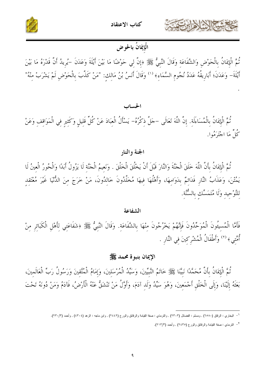



# الْإِيمَانُ بالحوض

ثُمَّ الْإِيمَانُ بِالْحَوْضِ وَالشَّفَاعَةِ وَقَالَ النَّبِيُّ ﷺ ﴿إِنَّ لِي حَوْضًا مَا بَيْنَ أَيْلَةَ وَعَدَنَ –يُرِيدُ أَنَّ قَدْرَهُ مَا بَيْنَ أَيْلَةَ– وَعَدَنَ؛ أَبَارِيقُهُ عَدَدُ نُجُومِ السَّمَاءِ﴾ <sup>(١)</sup> وَقَالَ أَنَسُ بْنُ مَالِكِ: "مَنْ كَذَّبَ بِالْحَوْضِ لَمْ يَشْرَبْ مِنْهُ"

#### الحساب

ثُمَّ الْإِيمَانُ بِالْمُسَاءَلَة. إِنَّ اللَّهَ تَعَالَى –جَلَّ ذِكْرُهُ– يَسْأَلُ الْعِبَادَ عَنْ كُلِّ قَلِيلٍ وَكَثِيرٍ فِي الْمَوَاقِفِ وَعَنْ كُلِّ مَا اجْتَرَمُوا.

#### الجنة والنار

ثُمَّ الْإِيمَانُ بِأَنَّ اللَّهَ خَلَقَ الْجَنَّةَ وَالنَّارَ قَبْلَ أَنْ يَخْلُقَ الْخَلْقَ . وَنَعيمُ الْجَنَّة لَا يَزُولُ أَبَدًا وَالْحُورُ الْعينُ لَا يَمُتْنَ، وَعَذَابُ النَّارِ فَدَائِمٌ بِدَوَامِهَا، وَأَهْلُهَا فِيهَا مُخَلَّدُونَ خَالِدُونَ، مَنْ خَرَجَ مِنَ الدُّنْيَا غَيْرَ مُعْتَقِدِ لِلتَّوْحِيدِ وَلَا مُتَمَسِّك بِالسُّنَّةِ.

#### الشفاعة

فَأَمَّا الْمُسِيئُونَ الْمُوَحِّدُونَ فَإِنَّهُمْ يَخْرُجُونَ مِنْهَا بِالشَّفَاعَةِ. وَقَالَ النَّبِيُّ ﷺ وشَفَاعَتي لِأَهْلِ الْكَبَائرِ مِنْ أُمَّتِي﴾ <sup>(٢)</sup> وَأَطْفَالُ الْمُشْرِكِينَ فِي النَّارِ .

#### الإيمان بنبوة محمد ﷺ

نُمَّ الْإِيمَانُ بِأَنَّ مُحَمَّدًا نَبِيَّنَا ﷺ خَاتَمُ النَّبِيِّينَ، وَسَيِّدُ الْمُرْسَلِينَ، وَإِمَامُ الْمُتَّقِينَ وَرَسُولُ رَبِّ الْعَالَمِينَ، بَعَثَهُ إِلَيْنَا، وَإِلَى الْخَلْقِ أَجْمَعِينَ، وَهُوَ سَيِّدُ وَلَدٍ آدَمَ، وَأَوَّلُ مَنْ تَنْشَقُّ عَنْهُ الْأَرْضُ، فَآدَمُ وَمَنْ دُونَهُ تَحْتَ

<sup>&</sup>lt;sup>1</sup> – البخاري : الرقاق (٦٥٨٠) , ومسلم : الفضائل (٢٢٠٣) , والترمذي : صفة القيامة والرقائق والورع (٢٤٤٢) , وابن ماجه : الزهد (٤٣٠٤) , وأحمد (٢٣٠/٣).

<sup>&</sup>lt;sup>٢</sup>– الترمذي : صفة القيامة والرقائق والور ع (٢٤٣٥) , وأحمد (٢١٣/٣).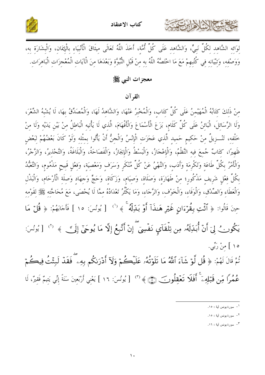





لِوَائِهِ الشَّاهِدِ لِكُلِّ نَبِيٍّ، وَالشَّاهِدِ عَلَى كُلِّ أُمَّةٍ، أَخَذَ اللَّهُ تَعَالَى مِيثَاقَ الْأَنْبِيَاءِ بِالْإِيمَانِ، وَالْبِشَارَةِ بِهِ، وَوَصْفِهِ، وَتِبْيَانِهِ فِي كُتُبِهِمْ مَعَ مَا اخْتَصَّهُ اللَّهُ بِهِ مِنْ قَبْلِ النُّبُوَّةِ وَبَعْدَهَا مِنَ الْآيَاتِ الْمُعْجِزَات الْبَاهرَات.

معجزات النبي ﷺ

القرآن

منْ ذَلكَ كتَابُهُ الْمُهَيْمنُ عَلَى كُلِّ كتَاب، وَالْمُخْبِرُ عَنْهَا، وَالشَّاهدُ لَهَا، وَالْمُصَدِّقُ بهَا، لَا يُشْبهُ الشِّعْرَ، وَلَا الرَّسَائلَ، الْبَائنُ عَلَى كُلِّ كَلَام، بَزَعَ الْأَسْمَاعَ وَالْأَفْهَامَ، الَّذي لَا يَأْتيه الْبَاطلُ منْ بَيْن يَدَيْه وَلَا منْ خَلْفه، تَنْــزيلٌ منْ حَكيم حَميد الَّذي عَجَزَت الْإِنْسُ وَالْحِنُّ أَنْ يَأْتُوا بِمثْله وَلَوْ كَانَ بَعْضُهُمْ لبَعْض ظَهِيرًا، كتَابٌ جُمعَ فيه النَّظْمُ، وَالْإعْجَازُ، وَالْبَسْطُ وَالْإيجَازُ، وَالْفَصَاحَةُ، وَالْبَلَاغَةُ، وَالتَّحْذيرُ، وَالزَّجْرُ، وَالْأَمْرُ بِكُلِّ طَاعَةِ وَتَكْرِمَةِ وَأَدَبٍ، وَالنَّهْيُ عَنْ كُلِّ مُنْكَرِ وَسَرَفٍ وَمَعْصِيَةٍ، وَفِعْلِ قَبيح مَذْمُومٍ، وَالتَّعَبُّدُ بِكُلِّ فِعْلٍ شَرِيفٍ مَذْكُورٍ؛ مِنْ طَهَارَة، وَصَلَاة، وَصِيَامٍ، وَزَكَاةٍ، وَحَجٍّ وَجهَادٍ وَصلَة الْأَرْحَامِ، وَالْبَذْلِ وَالْعَطَاءِ وَالصِّدْقِ، وَالْوَفَاءِ، وَالْخَوْفِ، وَالرَّجَاءِ، وَمَا يَكْثُرُ تَعْدَادُهُ ممَّا لَا يُحْصَى، مَعَ مُحَاجَّته ﷺ لقَوْمه حِينَ قَالُوا: ﴿ أَئَّتِ بِقُرْءَانٍ غَيْرِ هَـٰذَآ أَوۡ بَـٰلِّلَهُ ۚ ﴾ (') [ يُونُسَ: ١٥ ] فَأَجَابَهُمْ: ﴿ قُلۡ مَا يَكُونُ لِيَ أَنْ أُبَدِّلَهُۥ مِن تِلْقَآيِ نَفۡسِيٓ ۚ إِنۡ أَتَّبِعُ إِلَّا مَا يُوحَىٰٓ إِلَى ۗ ﴾ ('' [ يُونُسَ: ه ۱ ] منْ رَبِّي. نُمَّ قَالَ لَهُمْ: ﴿ قُل لَّوۡ شَآءَ ٱللَّهُ مَا تَلَوۡتُهُۥ عَلَيۡكُمۡ وَلَآ أَدۡرَىٰكُم بِهِۦ ۚ فَقَدۡ لَبِثۡتُ فِيكُمۡم

عُمُرًا مِّن قَبَلِهِۦٓ ۚ أَفَلَا تَعۡقِلُونَ ۞ ۞ (") [يُونُسَ: ١٦ ] يَعْنِي أَرْبَعِينَ سَنَةً إِنِّي يَتِمُّ فَقِيرٌ، لَا

<sup>&</sup>lt;sup>1</sup>– سورة يونس أية : ١٥.

۲\_ سورة يونس أية : ١٥.

۳– سورة بونس أية : ١٦.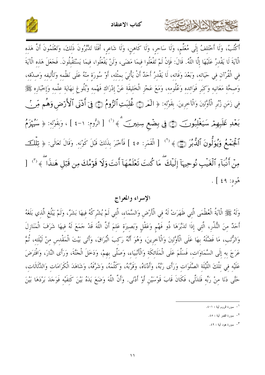





أَكْتُبُ، وَلَا أَخْتَلفُ إِلَى مُعَلِّم، وَلَا سَاحر، وَلَا كَاهن، وَلَا شَاعر، أَفَلَا تَدَّبَّرُونَ ذَلكَ، وَتَعْلَمُونَ أَنَّ هَذه الْآيَةَ لَا يَقْدرُ عَلَيْهَا إِلَّا اللَّهُ. قَالَ: فَإِنْ لَمْ تَفْعَلُوا فيمَا مَضَى، وَلَنْ يَفْعَلُوا، فيمَا يَسْتَقْبُلُونَ. فَجَعَلَ هَذه الْآيَةَ فِي الْقُرْآنِ فِي حَيَاتِهِ، وَبَعْدَ وَفَاتِهِ، لَا يَقْدِرُ أَحَدٌ أَنْ يَأْتِيَ بِمِثْلِهِ، أَوْ سُورَةٍ مِنْهُ عَلَى نَظْمِهِ وَتَأْلِيفِهِ وَصِدْقِهِ، وَصِحَّة مَعَانِيهِ وَكِبَرٍ فَوَائِدِهِ وَعُلُومِهِ، وَمَعَ عَجْزِ الْخَلِيقَةِ عَنْ إِدْرَاكِ فَهْمِهِ وَبُلُوغٍ نِهَايَةِ عِلْمِهِ وَإِخْبَارِهِ ﷺ فِي زَمَنِ زُبُرِ الْأَوَّلِينَ وَالْآخِرِينَ. بِقَوْلِهِ: ﴿ الْمَرْدِيُّ غُلِبَتِ ٱلرُّومُ (جَ) فِيَ أَدْنَى ٱلْأَرْض وَهُم مِّر لَ بَعْدِ غَلَبِهِمْ سَيَغْلِبُونَ ۞ فِى بِضْعِ سِنِينَ ﴾ (') [الرُّومِ: ١-٤ ] ، وَبِقَوْلِهِ: ﴿ سَيُهْزَمُ ٱلْجَمَعُ وَيُوَلُّونَ ٱلدُّبُرَ (١٤٥) [ الْقَمَرِ: ٤٥ ] فَأَخْبَرَ بِذَلِكَ قَبْلَ كَوْنِهِ. وَقَالَ تَعَالَى: ﴿ تِلْلَكَ مِنْ أَنبَآءِ ٱلۡغَيۡبِ نُوحِيهَآ إِلَيۡكَ ۖ مَا كُنتَ تَعۡلَمُهَآ أَنتَ وَلَا قَوۡمُكَ مِن قَبۡل هَنذَا ۖ ﴾ (" [ هُودِ: ٤٩ ] .

# الإسراء والمعراج

وَلَهُ ﷺ الْآيةُ الْعُظْمَى الَّتي ظَهَرَتْ لَهُ في الْأَرْضِ وَالسَّمَاء، الَّتي لَمْ يُشْرِكْهُ فيهَا بَشَرٌ، وَلَمْ يَبْلُغ الَّذي بَلَغَهُ أَحَدٌ مِنَ النُّذُرِ، الَّتِي إذَا تَدَبَّرَهَا ذُو فَهْمٍ وَعَقْلٍ وَبَصِيرَة عَلمَ أَنَّ اللَّهَ قَدْ حَمَعَ لَهُ فيهَا شَرَفَ الْمَنَازِلَ وَالرُّتَبِ، مَا فَضَّلَهُ بهَا عَلَى الْأَوَّلينَ وَالْآخرينَ، وَهُوَ أَنَّهُ رَكبَ الْبُرَاقَ، وَأَتَى بَيْتَ الْمَقْدس منْ لَيْلَته، ثُمَّ عَرَجَ به إلَى السَّمَاوَات، فَسَلَّمَ عَلَى الْمَلَائكَة وَالْأَنْبِيَاء، وَصَلَّى بِهِمْ، وَدَخَلَ الْجَنَّةَ، وَرَأَى النَّارَ، وَافْتَرَضَ عَلَيْه في تلْكَ اللَّيْلَة الصَّلَوَات وَرَأَى رَبَّهُ، وَأَدْنَاهُ، وَقَرَّبَهُ، وَكَلَّمَهُ، وَشَرَّفَهُ، وَشَاهَدَ الْكَرَامَات وَالدَّلَالَات، حَتَّى دَنَا منْ رَبِّه فَتَدَلَّى، فَكَانَ قَابَ قَوْسَيْنِ أَوْ أَدْنَى. وَأَنَّ اللَّهَ وَضَعَ يَدَهُ بَيْنَ كَتفَيْه فَوَجَدَ بَرْدَهَا بَيْنَ

<sup>&</sup>lt;sup>1</sup>– سورة الروم أببة : ١-٤.

٢- سورة القمر أية : ٤٥.

۳ ـ سورة هود آبة: ٤٩.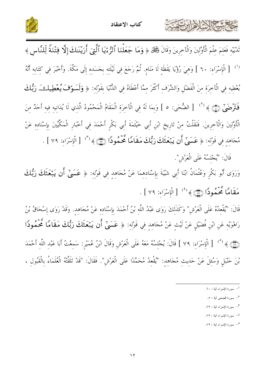



تَدْيَيْهِ فَعَلِمَ عِلْمَ الْأَوَّلِينَ وَالْآخِرِينَ وَقَالَ كَيْمَكْ ﴿ وَمَا جَعَلْنَا ٱلرُّءَيَا ٱلَّتِيَ أَرَيْنَاكَ إِلَّا فِتْنَةً لِّلنَّاسِ ﴾ <sup>(')</sup> [الْإِسْرَاءِ: ٦٠ ] وَهِيَ رُؤْيَا يَقَظَةِ لَا مَنَامٍ. ثُمَّ رَجَعَ فِي لَيْلَتِهِ بِجَسَدِهِ إِلَى مَكَّةَ. وَأَخْبَرَ فِي كِتَابِهِ أَنَّهُ يُعْطِيهِ فِي الْآخِرَةِ مِنَ الْفَضْلِ وَالشَّرَفِ أَكْثَرَ مِمَّا أَعْطَاهُ فِي الدُّنْيَا بِقَوْلِهِ: ﴿ وَلَسَوْفَ يُعْطِيلُ وَبُّلُكَ فَتَرْضَىٰٓ ۞ ﴾ (`` [ الضُّحَى: ٥ ] وَبِمَا لَهُ فِي الْآخِرَةِ الْمَقَامُ الْمَحْمُودُ الَّذِي لَا يُدَانِيهِ فيهِ أَحَدٌ مِنَ الْأَوَّلِينَ وَالْآخِرِينَ. فَنَقَلْتُ مِنْ تَارِيخِ ابْنِ أَبِي خَيْثَمَةَ أَبِي بَكْرٍ أَحْمَدَ فِي أَخْبَارِ الْمَكِّيِّينَ بِإِسْنَادِهِ عَنْ مُحَاهِدٍ فِي قَوْلِهِ: ﴿ عَسَىٌّ أَن يَبْعَثَكَ رَبُّكَ مَقَامًا تَحْمُودًا (٢٦) ﴾ (" [الْإِسْرَاءِ: ٧٩ ] .

قَالَ: "يُجْلِسُهُ عَلَى الْعَرْشِ".

كالحشيج الشاهايرت

وَرَوَى أَبُو بَكْرٍ وَعُثْمَانُ ابْنَا أَبِي شَيْبَةَ بِإِسْنَادِهِمَا عَنْ مُجَاهِدٍ فِي قَوْلِهِ: ﴿ عَسَىٰٓ أَن يَبۡعَثَكَ رَبُّكَ مَقَامًا مَّحَمُودًا (٢١) ﴾ (<sup>٤)</sup> [الْإِسْرَاءِ: ٧٩ ] .

قَالَ: "يُقْعِدُهُ عَلَى الْعَرْشِ" وَكَذَلِكَ رَوَى عَبْدُ اللَّهِ بْنُ أَحْمَدَ بِإِسْنَادِهِ عَنْ مُجَاهِدٍ. وَقَدْ رَوَى إِسْحَاقُ بْنُ رَاهْوَيْهِ عَنِ ابْنِ فُضَيْلٍ عَنْ لَيْتٍ عَنْ مُجَاهِدٍ فِي قَوْلِهِ: ﴿ عَسَىٰٓ أَن يَبۡعَثَكَ رَبُّكَ مَقَامًا مَحۡمُودًا (۞) ﴾ <sup>(°)</sup> [الْإِسْرَاءِ: ٧٩ ] قَالَ: يُجْلِسُهُ مَعَهُ عَلَى الْعَرْشِ وَقَالَ ابْنُ عُمَيْرِ: سَمِعْتُ أَبَا عَبْدِ اللَّهِ أَحْمَدَ بْنَ حَنْبَلٍ وَسُئِلَ عَنْ حَدِيثٍ مُجَاهِدٍ: "يُقْعِدُ مُحَمَّدًا عَلَى الْعَرْشِ". فَقَالَ: "قَدْ تَلَقَّتْهُ الْعُلَمَاءُ بِالْقَبُولِ ،

- ٣- سورة الإسراء أية : ٧٩.
- <sup>٤</sup>– سورة الإسراء أية : ٧٩.
- <sup>0</sup>– سورة الإسراء أية : ٧٩.

<sup>&</sup>lt;sup>1</sup>– سورة الإسراء أية : ٦٠.

٢- سورة الضحى أية : ٥.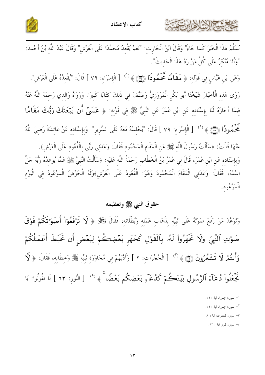



نُسَلِّمُ هَذَا الْخَبَرَ كَمَا جَاءَ" وَقَالَ ابْنُ الْحَارِثِ: "نَعَمْ يُقْعِدُ مُحَمَّدًا عَلَى الْعَرْشِ" وَقَالَ عَبْدُ اللَّهِ بْنُ أَحْمَدَ: "وَأَنَا مُنْكِرٌ عَلَى كُلِّ مَنْ رَدَّ هَذَا الْحَدِيثَ".

وَعَنِ ابْنِ عَبَّاسٍ فِي قَوْلِهِ: ﴿ مَقَامًا مَّحَمُّودًا (۞ ﴾ '' [ الْإِسْرَاءِ: ٧٩ ] قَالَ: "يُقْعِدُهُ عَلَى الْعَرْشِ". رَوَى هَذِهِ الْأَخْبَارَ شَيْخُنَا أَبُو بَكْرِ الْمَرْوَزِيُّ وَصَنَّفَ فِي ذَلِكَ كِتَابًا كَبِيرًا. وَرَوَاهُ وَالدِي رَحِمَهُ اللَّهُ عَنْهُ فِيمَا أَحَازَهُ لَنَا بِإِسْنَادِهِ عَنِ ابْنِ عُمَرَ عَنِ النَّبِيِّ ﷺ فِي قَوْلِهِ: ﴿ عَسَىٰٓ أَن يَبۡعَثَكَ رَبُّكَ مَقَامًا مَّحَمُودًا (٢١) ﴾ <sup>(٢</sup>) [الْإِسْرَاءِ: ٧٩ ] قَالَ: "يُجْلِسُهُ مَعَهُ عَلَى السَّرِيرِ". وَبِإِسْنَادِهِ عَنْ عَائِشَةَ رَضِيَ اللَّهُ عَنْهَا قَالَتْ: ﴿سَأَلْتُ رَسُولَ اللَّهِ ﷺ عَنِ الْمَقَامِ الْمَحْمُودِ فَقَالَ: وَعَدَنِي رَبِّي بِالْقُعُودِ عَلَى الْعَرْشِ﴾. وَبِإِسْنَادِهِ عَنِ ابْنِ عُمَرَ، قَالَ لِي عُمَرُ بْنُ الْخَطَّابِ رَحْمَةُ اللَّهِ عَلَيْهِ: ﴿سَأَلْتُ النَّبِيَّ ﷺ عَمَّا يُوعِدُهُ رَبُّهُ حَلَّ اسْمُهُ، فَقَالَ: وَعَدَنِي الْمَقَامَ الْمَحْمُودَ وَهُوَ: الْقُعُودُ عَلَى الْعَرْشِ﴾وَلَهُ الْحَوْضُ الْمَوْعُودُ فِي الْيَوْمِ الْمَوْعُود.

# حقوق النبي ﷺ وتعظيمه

وَتَوَعَّدَ مَنْ رَفَعَ صَوْتَهُ عَلَى نَبِيِّهِ بِذَهَابٍ عَمَلِهِ وَبُطْلَانِهِ، فَقَالَ كَبَالٌ ﴿ لَا تَرْفَعُوٓاْ أَصۡوَاتَكُمۡ فَوۡقَ صَوْتِ ٱلنَّبِيِّ وَلَا تَجْهَرُواْ لَهُۥ بِٱلْقَوْلِ كَجَهْرِ بَعْضِكُمْ لِبَعْضٍ أَن تَحْبَطَ أَعْمَلُكُمْ وَأَنتُمْ لَا تَشْعُرُونَ ۞ ﴾ (" [ الْحُجُرَاتِ: ٢ ] وَأَدَّبَهُمْ فِي مُحَاوَرَةٍ نَبِيِّهِ ﷺ وَحِطَابِهِ، فَقَالَ: ﴿ لَا تَجۡعَلُوا۟ دُعَآءَ ٱلرَّسُولِ بَيۡنَڪُمۡ كَدُعَآءِ بَعۡضِكُم بَعۡضًا ۚ ﴾ '' [ النُّورِ: ٦٣ ] لَا تَقُولُوا: يَا

- ٣- سورة الحجرات أية : ٢.
- ٤– سورة النور أية : ٦٣.

ا – سورة الإسراء أية : ٧٩.

٢- سورة الإسراء أية : ٧٩.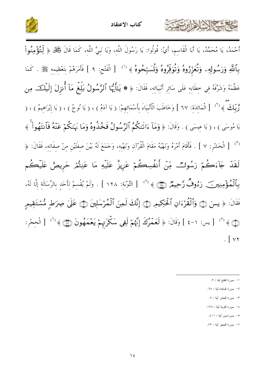





 $\sqrt{2}$ 

حشيها المخالفان

- ١– سورة الفتح أية : ٩.
- ٢– سورة المائدة أبة : ٦٧.
- ٣- سورة الحشر أية : ٧.
- ٤- سورة التوبة أية : ١٢٨.
- ٥- سورة يس أية : ١-٤.
- .<br>٦- سورة الحجر آبة : ٧٢.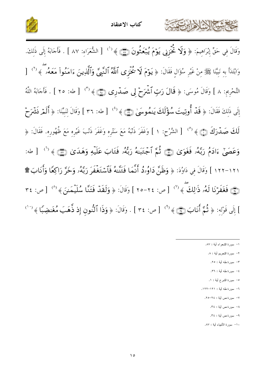



وَقَالَ فِي حَقٍّ إِبْرَاهِيمَ: ﴿ وَلَا تُحْزِنِي يَوۡمَ يُبۡعَثُونَ۞۞۞۞ ( ٰالشُّعَرَاءِ: ٨٧ ] . فَأَجَابَهُ إِلَى ذَلِكَ. وَابْتَدَأَ بِهِ نَبِيَّنَا ﷺ مِنْ غَيْرِ سُؤَالٍ فَقَالَ: ﴿ يَوۡمَ لَا خُمۡزَى ٱللَّهُ ٱلنَّبِيَّ وَٱلَّذِينَ ءَامَنُواْ مَعَهُۥ ۗ﴾ '' [ التَّحْرِيمِ: ٨ ] وَقَالَ مُوسَى: ﴿ قَالَ رَبِّ ٱتّْمَرَحْ لِى صَدْرِى ۞ ﴾ <sup>(٢)</sup> [ طه: ٢٥ ] . فَأَجَابَهُ اللَّهُ إِلَى ذَلكَ فَقَالَ: ﴿ قَدۡ أُوتِيتَ سُؤۡلَكَ يَـٰمُوسَىٰ (٢٦﴾ ('') [طه: ٣٦ ] وَقَالَ لِنَبِيِّنَا: ﴿ أَلَمۡر نَشۡرَحۡ لَمَافَ صَمْدَرَكَ ۞ ﴾ <sup>(°)</sup> [ الشَّرْح: ١ ] وَغَفَرَ ذَنْبَهُ مَعَ سَتْرِه وَغَفَرَ ذَنْبَ غَيْره مَعَ ظُهُوره. فَقَالَ: ﴿ وَعَصَىٰٓ ءَادَمُ رَبَّهُۥ فَغَوَىٰ ۞ ثُمَّ ٱجْتَبَـٰهُ رَبُّهُۥ فَتَابَ عَلَيْهِ وَهَدَىٰ ۞ ۞ ﴾ (" [ طه: ١٢١-١٢٢ ] وَقَالَ في دَاوُدَ: ﴿ وَظَنَّ دَاوُرُدُ أَنَّمَا فَتَنَّلْهُ فَٱسْتَغْفَرَ رَبَّهُۥ وَخَرَّ رَاكِعًا وَأَنَابَ ۩ (﴾ فَغَفَرْنَا لَهُۥ ذَٰ لِكَ ﴾ (") [ص: ٢٤-٢٥ ] وَقَالَ: ﴿ وَلَقَدْ فَتَنَّا سُلَيْمَـٰنَ ﴾ (") [ص: ٣٤ ] إِلَى قَوْلِهِ: ﴿ ثُمَّ أَنَابَ (٢٦) ﴾ (٩) [ص: ٣٤] . وَقَالَ: ﴿ وَذَا ٱلنُّنُونَ إِذْ ذَّهَبَ مُغَنضِبًا ﴾ (٧٠

١– سورة الشعراء أية : ٨٧.

STAN ARA

- ٢– سورة التحريم أية : ٨.
- ٣- سورة طه أبة : ٢٥.
- ٤- سورة طه أبة : ٣٦.
- ٥- سورة الشرح أية : ١.
- ٦- سورة طه آبة : ١٢١-١٢٢.
	- ٧- سورة ص أية : ٢٤-٢٥.
		- ٨- سورة ص أية : ٣٤.
		- ۹– سورة ص أية : ٣٤.
	- ١٠- سورة الأنبياء آبة : ٨٧.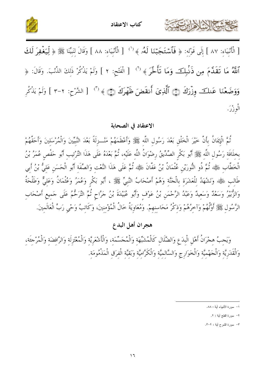



[ الْأَنْبِيَاءِ: ٨٧ ] إِلَى قَوْلِهِ: ﴿ فَأَسْتَجَبَّنَا لَهُۥ ﴾ <sup>(')</sup> [ الْأَنْبِيَاءِ: ٨٨ ] وَقَالَ لِنَبِيِّنَا ﷺ ﴿ لِّيَغْفِرَ لَكَ ٱللَّهُ مَا تَقَلَّمَ مِن ذَنْبِكَ وَمَا تَأَخَّرَ ﴾ ('' [ الْفَتْح: ٢ ] وَلَمْ يَذْكُرْ ذَلِكَ الذُّنْبَ. وَقَالَ: ﴿ وَوَضَعْنَا عَنلَكَ وِزْرَكَ ﴿ ٱلَّذِىٓ أَنقَضَ ظَهَرَكَ ۞ ﴾ (" { الشَّرْحِ: ٢-٣ ] وَلَمْ يَذْكُرِ الْوزْرَ.

الاعتقاد في الصحابة

ثُمَّ الْإِيمَانُ بِأَنَّ خَيْرَ الْخَلْقِ بَعْدَ رَسُولِ اللَّه ﷺ وَأَعْظَمَهُمْ مَنْــزِلَةً بَعْدَ النَّبيّينَ وَالْمُرْسَلينَ وَأَحَقَّهُمْ بخلَافَة رَسُول اللَّه ﷺ أَبُو بَكْر الصِّدِّيقُ رضْوَانُ اللَّه عَلَيْه، ثُمَّ بَعْدَهُ عَلَى هَذَا التَّرْتيب أَبُو حَفْص عُمَرُ بْنُ الْخَطَّابِ ﷺ، ثُمَّ ذُو النُّورَيْنِ عُثْمَانُ بْنُ عَفَّانَ رِّقِيًّا مُمَّ عَلَى هَذَا النَّعْتِ وَالصِّفَة أَبُو الْحَسَنِ عَليُّ بْنُ أَبِي طَالب ﷺ، وَنَشْهَدُ للْعَشَرَة بِالْجَنَّةِ وَهُمْ أَصْحَابُ النَّبِيِّ ﷺ، أَبُو بَكْرِ وَعُمَرُ وَعُثْمَانُ وَعَلِيٌّ وَطَلْحَةُ وَالزُّبَيْرُ وَسَعْدٌ وَسَعِيدٌ وَعَبْدُ الرَّحْمَنِ بْنُ عَوْفٍ وَأَبُو عُبَيْدَةَ بْنُ جَرَّاحٍ ثُمَّ التَّرَحُّمُ عَلَى حَمِيعِ أَصْحَابِ الرَّسُولِ ﷺ أَوَّلُهُمْ وَآخِرُهُمْ وَذِكْرُ مَحَاسِنِهِمْ. وَمُعَاوِيَةُ خَالُ الْمُؤْمِنِينَ، وَكَاتِبُ وَحْي رَبِّ الْعَالَمينَ.

هجران أهل البدع

وَيَجِبُ هِجْرَانُ أَهْلِ الْبِدَعِ وَالضَّلَالِ كَالْمُشَبِّهَةِ وَالْمُجَسِّمَةِ، وَالْأَشْعَرِيَّةِ وَالْمُعْتَزِلَةِ وَالرَّافضَةِ وَالْمُرْجَفَةِ، وَالْقَدَرِيَّةِ وَالْجَهْمِيَّةِ وَالْخَوَارِجِ وَالسَّالِمِيَّةِ وَالْكَرَّاميَّة وَبَقيَّة الْفرَق الْمَذْمُومَة.

٢- سورة الفتح أية : ٢.

٣- سورة الشرح أية : ٢-٣.

١– سورة الأنبياء أية : ٨٨.